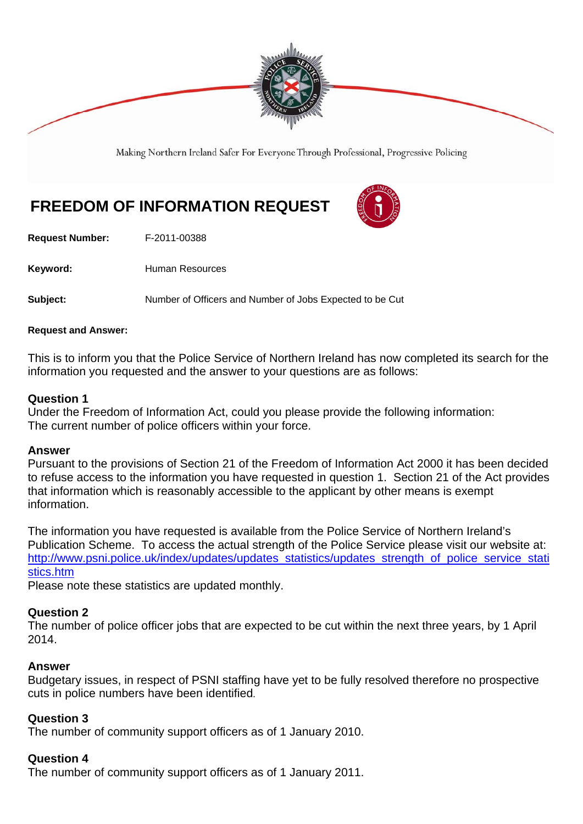

Making Northern Ireland Safer For Everyone Through Professional, Progressive Policing

# **FREEDOM OF INFORMATION REQUEST**



**Request Number:** F-2011-00388

Keyword: **Human Resources** 

**Subject:** Number of Officers and Number of Jobs Expected to be Cut

#### **Request and Answer:**

This is to inform you that the Police Service of Northern Ireland has now completed its search for the information you requested and the answer to your questions are as follows:

### **Question 1**

Under the Freedom of Information Act, could you please provide the following information: The current number of police officers within your force.

#### **Answer**

Pursuant to the provisions of Section 21 of the Freedom of Information Act 2000 it has been decided to refuse access to the information you have requested in question 1. Section 21 of the Act provides that information which is reasonably accessible to the applicant by other means is exempt information.

The information you have requested is available from the Police Service of Northern Ireland's Publication Scheme. To access the actual strength of the Police Service please visit our website at: http://www.psni.police.uk/index/updates/updates\_statistics/updates\_strength\_of\_police\_service\_stati stics.htm

Please note these statistics are updated monthly.

### **Question 2**

The number of police officer jobs that are expected to be cut within the next three years, by 1 April 2014.

### **Answer**

Budgetary issues, in respect of PSNI staffing have yet to be fully resolved therefore no prospective cuts in police numbers have been identified.

### **Question 3**

The number of community support officers as of 1 January 2010.

### **Question 4**

The number of community support officers as of 1 January 2011.